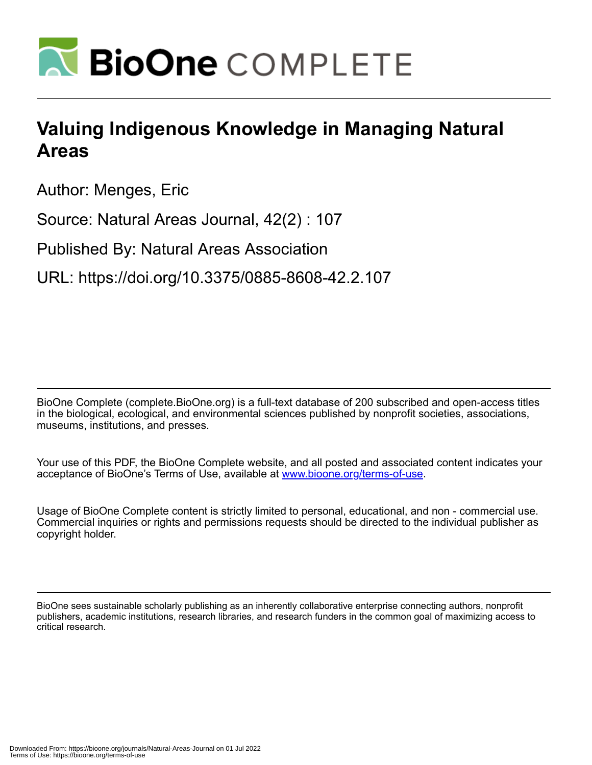

## **Valuing Indigenous Knowledge in Managing Natural Areas**

Author: Menges, Eric

Source: Natural Areas Journal, 42(2) : 107

Published By: Natural Areas Association

URL: https://doi.org/10.3375/0885-8608-42.2.107

BioOne Complete (complete.BioOne.org) is a full-text database of 200 subscribed and open-access titles in the biological, ecological, and environmental sciences published by nonprofit societies, associations, museums, institutions, and presses.

Your use of this PDF, the BioOne Complete website, and all posted and associated content indicates your acceptance of BioOne's Terms of Use, available at www.bioone.org/terms-of-use.

Usage of BioOne Complete content is strictly limited to personal, educational, and non - commercial use. Commercial inquiries or rights and permissions requests should be directed to the individual publisher as copyright holder.

BioOne sees sustainable scholarly publishing as an inherently collaborative enterprise connecting authors, nonprofit publishers, academic institutions, research libraries, and research funders in the common goal of maximizing access to critical research.